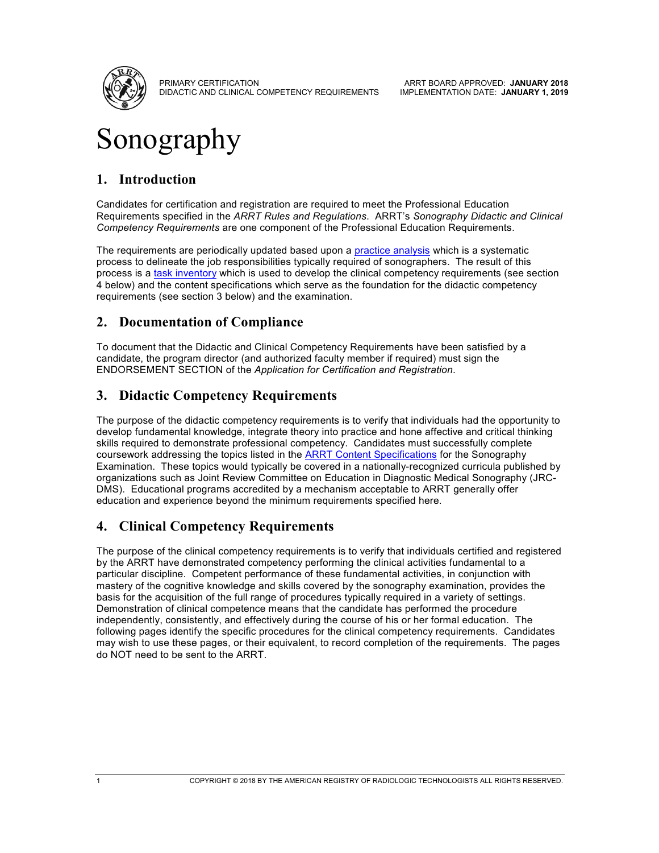

PRIMARY CERTIFICATION DIDACTIC AND CLINICAL COMPETENCY REQUIREMENTS

ARRT BOARD APPROVED: **JANUARY 2018** IMPLEMENTATION DATE: **JANUARY 1, 2019**

# Sonography

## **1. Introduction**

Candidates for certification and registration are required to meet the Professional Education Requirements specified in the *ARRT Rules and Regulations*. ARRT's *Sonography Didactic and Clinical Competency Requirements* are one component of the Professional Education Requirements.

The requirements are periodically updated based upon a [practice analysis](https://www.arrt.org/Practice-Analysis/) which is a systematic process to delineate the job responsibilities typically required of sonographers. The result of this process is [a task inventory](https://www.arrt.org/practice-analysis/task-inventories) which is used to develop the clinical competency requirements (see section 4 below) and the content specifications which serve as the foundation for the didactic competency requirements (see section 3 below) and the examination.

## **2. Documentation of Compliance**

To document that the Didactic and Clinical Competency Requirements have been satisfied by a candidate, the program director (and authorized faculty member if required) must sign the ENDORSEMENT SECTION of the *Application for Certification and Registration*.

## **3. Didactic Competency Requirements**

The purpose of the didactic competency requirements is to verify that individuals had the opportunity to develop fundamental knowledge, integrate theory into practice and hone affective and critical thinking skills required to demonstrate professional competency. Candidates must successfully complete coursework addressing the topics listed in the [ARRT Content Specifications](https://www.arrt.org/Content-Specifications) for the Sonography Examination. These topics would typically be covered in a nationally-recognized curricula published by organizations such as Joint Review Committee on Education in Diagnostic Medical Sonography (JRC-DMS). Educational programs accredited by a mechanism acceptable to ARRT generally offer education and experience beyond the minimum requirements specified here.

## **4. Clinical Competency Requirements**

The purpose of the clinical competency requirements is to verify that individuals certified and registered by the ARRT have demonstrated competency performing the clinical activities fundamental to a particular discipline. Competent performance of these fundamental activities, in conjunction with mastery of the cognitive knowledge and skills covered by the sonography examination, provides the basis for the acquisition of the full range of procedures typically required in a variety of settings. Demonstration of clinical competence means that the candidate has performed the procedure independently, consistently, and effectively during the course of his or her formal education. The following pages identify the specific procedures for the clinical competency requirements. Candidates may wish to use these pages, or their equivalent, to record completion of the requirements. The pages do NOT need to be sent to the ARRT.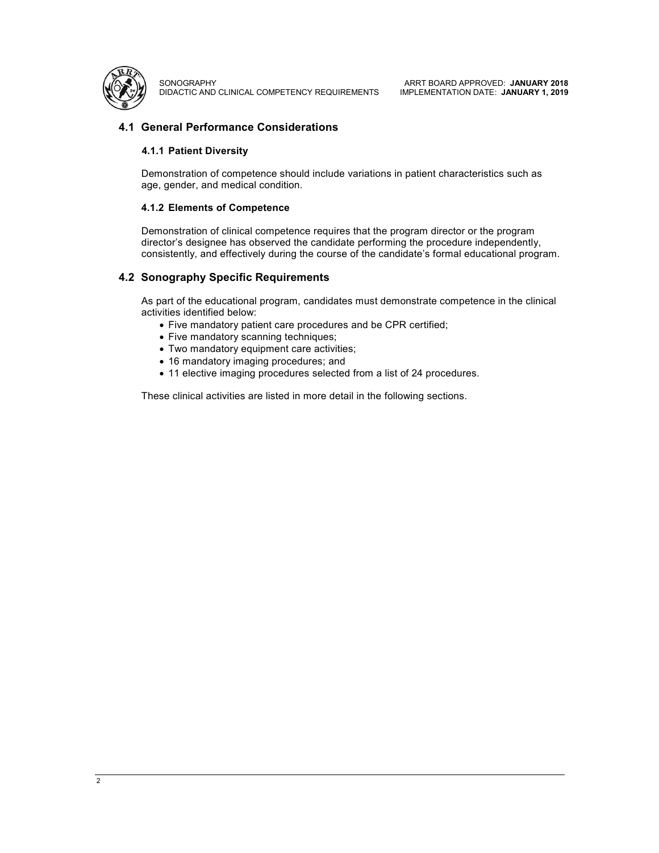

**SONOGRAPHY** DIDACTIC AND CLINICAL COMPETENCY REQUIREMENTS

ARRT BOARD APPROVED: **JANUARY 2018** IMPLEMENTATION DATE: **JANUARY 1, 2019**

#### **4.1 General Performance Considerations**

#### **4.1.1 Patient Diversity**

Demonstration of competence should include variations in patient characteristics such as age, gender, and medical condition.

#### **4.1.2 Elements of Competence**

Demonstration of clinical competence requires that the program director or the program director's designee has observed the candidate performing the procedure independently, consistently, and effectively during the course of the candidate's formal educational program.

#### **4.2 Sonography Specific Requirements**

As part of the educational program, candidates must demonstrate competence in the clinical activities identified below:

- Five mandatory patient care procedures and be CPR certified;
- Five mandatory scanning techniques;
- Two mandatory equipment care activities;
- 16 mandatory imaging procedures; and
- 11 elective imaging procedures selected from a list of 24 procedures.

These clinical activities are listed in more detail in the following sections.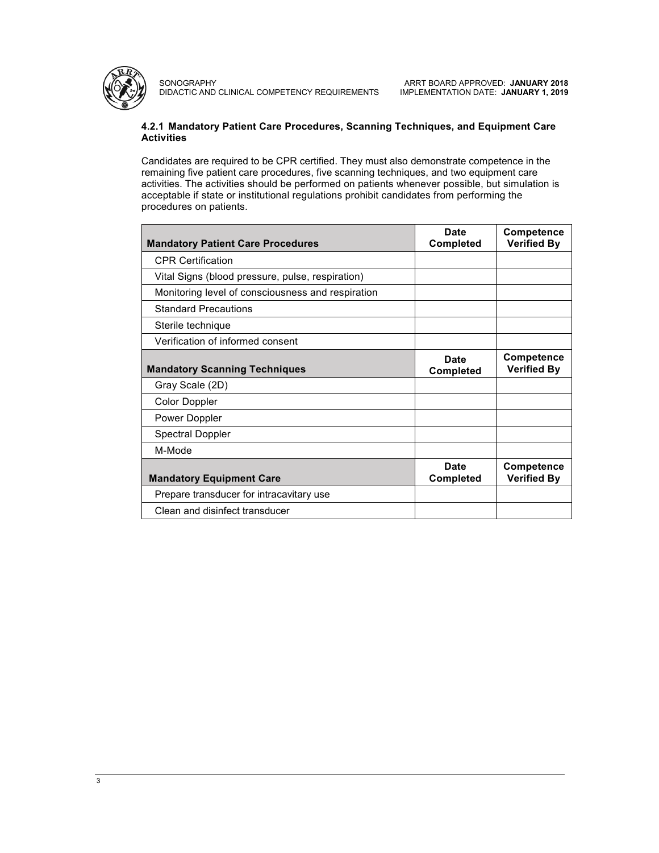

SONOGRAPHY DIDACTIC AND CLINICAL COMPETENCY REQUIREMENTS

ARRT BOARD APPROVED: **JANUARY 2018** IMPLEMENTATION DATE: **JANUARY 1, 2019**

#### **4.2.1 Mandatory Patient Care Procedures, Scanning Techniques, and Equipment Care Activities**

Candidates are required to be CPR certified. They must also demonstrate competence in the remaining five patient care procedures, five scanning techniques, and two equipment care activities. The activities should be performed on patients whenever possible, but simulation is acceptable if state or institutional regulations prohibit candidates from performing the procedures on patients.

| <b>Mandatory Patient Care Procedures</b>          | Date<br><b>Completed</b> | <b>Competence</b><br><b>Verified By</b> |
|---------------------------------------------------|--------------------------|-----------------------------------------|
| <b>CPR Certification</b>                          |                          |                                         |
| Vital Signs (blood pressure, pulse, respiration)  |                          |                                         |
| Monitoring level of consciousness and respiration |                          |                                         |
| <b>Standard Precautions</b>                       |                          |                                         |
| Sterile technique                                 |                          |                                         |
| Verification of informed consent                  |                          |                                         |
| <b>Mandatory Scanning Techniques</b>              | Date<br><b>Completed</b> | <b>Competence</b><br><b>Verified By</b> |
| Gray Scale (2D)                                   |                          |                                         |
| Color Doppler                                     |                          |                                         |
| Power Doppler                                     |                          |                                         |
| <b>Spectral Doppler</b>                           |                          |                                         |
| M-Mode                                            |                          |                                         |
| <b>Mandatory Equipment Care</b>                   | Date<br><b>Completed</b> | Competence<br><b>Verified By</b>        |
| Prepare transducer for intracavitary use          |                          |                                         |
| Clean and disinfect transducer                    |                          |                                         |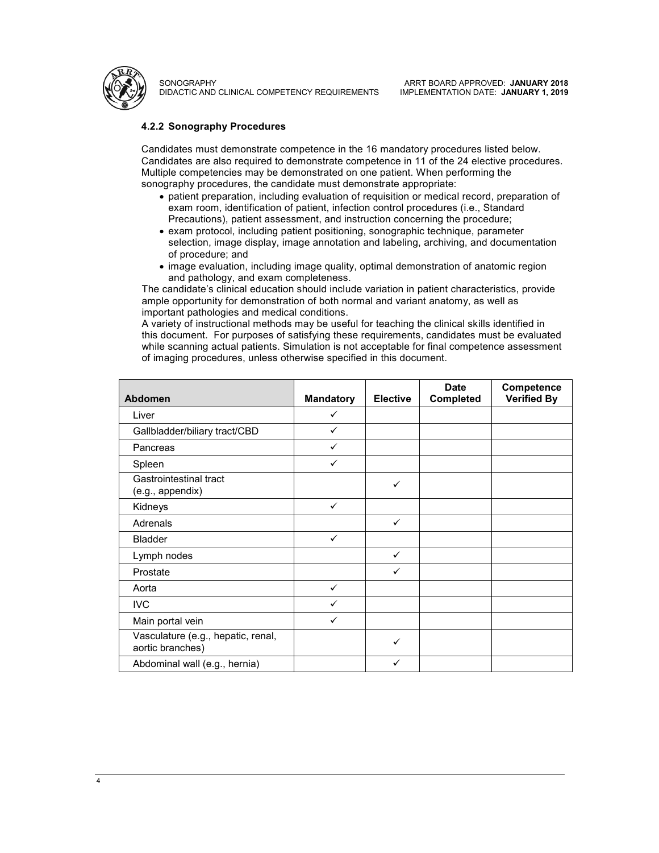

**SONOGRAPHY** DIDACTIC AND CLINICAL COMPETENCY REQUIREMENTS

#### **4.2.2 Sonography Procedures**

Candidates must demonstrate competence in the 16 mandatory procedures listed below. Candidates are also required to demonstrate competence in 11 of the 24 elective procedures. Multiple competencies may be demonstrated on one patient. When performing the sonography procedures, the candidate must demonstrate appropriate:

- patient preparation, including evaluation of requisition or medical record, preparation of exam room, identification of patient, infection control procedures (i.e., Standard Precautions), patient assessment, and instruction concerning the procedure;
- exam protocol, including patient positioning, sonographic technique, parameter selection, image display, image annotation and labeling, archiving, and documentation of procedure; and
- image evaluation, including image quality, optimal demonstration of anatomic region and pathology, and exam completeness.

The candidate's clinical education should include variation in patient characteristics, provide ample opportunity for demonstration of both normal and variant anatomy, as well as important pathologies and medical conditions.

A variety of instructional methods may be useful for teaching the clinical skills identified in this document. For purposes of satisfying these requirements, candidates must be evaluated while scanning actual patients. Simulation is not acceptable for final competence assessment of imaging procedures, unless otherwise specified in this document.

| <b>Abdomen</b>                                         | <b>Mandatory</b> | <b>Elective</b> | <b>Date</b><br>Completed | Competence<br><b>Verified By</b> |
|--------------------------------------------------------|------------------|-----------------|--------------------------|----------------------------------|
| Liver                                                  | ✓                |                 |                          |                                  |
| Gallbladder/biliary tract/CBD                          | ✓                |                 |                          |                                  |
| Pancreas                                               | ✓                |                 |                          |                                  |
| Spleen                                                 | ✓                |                 |                          |                                  |
| Gastrointestinal tract<br>(e.g., appendix)             |                  | ✓               |                          |                                  |
| Kidneys                                                | $\checkmark$     |                 |                          |                                  |
| Adrenals                                               |                  | $\checkmark$    |                          |                                  |
| <b>Bladder</b>                                         | ✓                |                 |                          |                                  |
| Lymph nodes                                            |                  | ✓               |                          |                                  |
| Prostate                                               |                  | ✓               |                          |                                  |
| Aorta                                                  | ✓                |                 |                          |                                  |
| <b>IVC</b>                                             | ✓                |                 |                          |                                  |
| Main portal vein                                       | ✓                |                 |                          |                                  |
| Vasculature (e.g., hepatic, renal,<br>aortic branches) |                  | ✓               |                          |                                  |
| Abdominal wall (e.g., hernia)                          |                  | ✓               |                          |                                  |